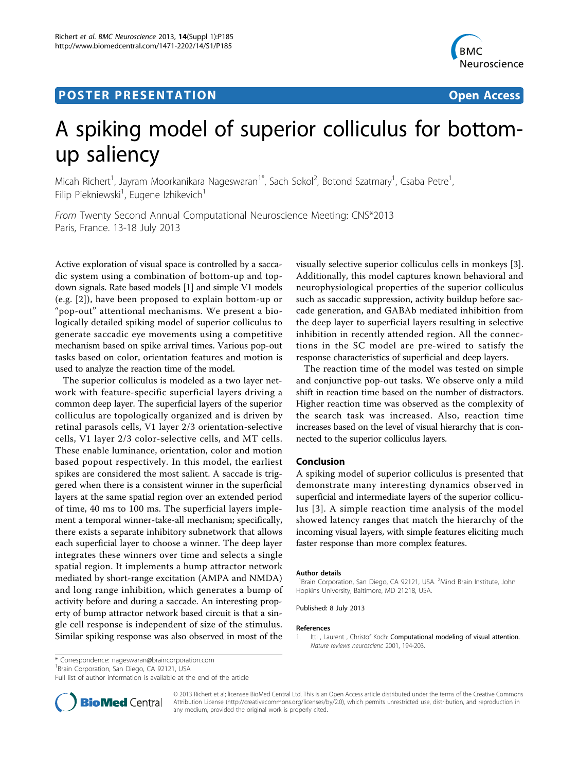# **POSTER PRESENTATION CONSUMING THE SECOND CONSUMING THE SECOND CONSUMING THE SECOND CONSUMING THE SECOND CONSUMING THE SECOND CONSUMING THE SECOND CONSUMING THE SECOND CONSUMING THE SECOND CONSUMING THE SECOND CONSUMING**



# A spiking model of superior colliculus for bottomup saliency

Micah Richert<sup>1</sup>, Jayram Moorkanikara Nageswaran<sup>1\*</sup>, Sach Sokol<sup>2</sup>, Botond Szatmary<sup>1</sup>, Csaba Petre<sup>1</sup> , Filip Piekniewski<sup>1</sup>, Eugene Izhikevich<sup>1</sup>

From Twenty Second Annual Computational Neuroscience Meeting: CNS\*2013 Paris, France. 13-18 July 2013

Active exploration of visual space is controlled by a saccadic system using a combination of bottom-up and topdown signals. Rate based models [1] and simple V1 models (e.g. [[2](#page-1-0)]), have been proposed to explain bottom-up or "pop-out" attentional mechanisms. We present a biologically detailed spiking model of superior colliculus to generate saccadic eye movements using a competitive mechanism based on spike arrival times. Various pop-out tasks based on color, orientation features and motion is used to analyze the reaction time of the model.

The superior colliculus is modeled as a two layer network with feature-specific superficial layers driving a common deep layer. The superficial layers of the superior colliculus are topologically organized and is driven by retinal parasols cells, V1 layer 2/3 orientation-selective cells, V1 layer 2/3 color-selective cells, and MT cells. These enable luminance, orientation, color and motion based popout respectively. In this model, the earliest spikes are considered the most salient. A saccade is triggered when there is a consistent winner in the superficial layers at the same spatial region over an extended period of time, 40 ms to 100 ms. The superficial layers implement a temporal winner-take-all mechanism; specifically, there exists a separate inhibitory subnetwork that allows each superficial layer to choose a winner. The deep layer integrates these winners over time and selects a single spatial region. It implements a bump attractor network mediated by short-range excitation (AMPA and NMDA) and long range inhibition, which generates a bump of activity before and during a saccade. An interesting property of bump attractor network based circuit is that a single cell response is independent of size of the stimulus. Similar spiking response was also observed in most of the

visually selective superior colliculus cells in monkeys [\[3](#page-1-0)]. Additionally, this model captures known behavioral and neurophysiological properties of the superior colliculus such as saccadic suppression, activity buildup before saccade generation, and GABAb mediated inhibition from the deep layer to superficial layers resulting in selective inhibition in recently attended region. All the connections in the SC model are pre-wired to satisfy the response characteristics of superficial and deep layers.

The reaction time of the model was tested on simple and conjunctive pop-out tasks. We observe only a mild shift in reaction time based on the number of distractors. Higher reaction time was observed as the complexity of the search task was increased. Also, reaction time increases based on the level of visual hierarchy that is connected to the superior colliculus layers.

# Conclusion

A spiking model of superior colliculus is presented that demonstrate many interesting dynamics observed in superficial and intermediate layers of the superior colliculus [\[3\]](#page-1-0). A simple reaction time analysis of the model showed latency ranges that match the hierarchy of the incoming visual layers, with simple features eliciting much faster response than more complex features.

#### Author details

<sup>1</sup>Brain Corporation, San Diego, CA 92121, USA. <sup>2</sup>Mind Brain Institute, John Hopkins University, Baltimore, MD 21218, USA.

Published: 8 July 2013

#### References

1. Itti, Laurent, Christof Koch: Computational modeling of visual attention. Nature reviews neuroscienc 2001, 194-203.

\* Correspondence: [nageswaran@braincorporation.com](mailto:nageswaran@braincorporation.com)

<sup>1</sup> Brain Corporation, San Diego, CA 92121, USA

Full list of author information is available at the end of the article



© 2013 Richert et al; licensee BioMed Central Ltd. This is an Open Access article distributed under the terms of the Creative Commons Attribution License [\(http://creativecommons.org/licenses/by/2.0](http://creativecommons.org/licenses/by/2.0)), which permits unrestricted use, distribution, and reproduction in any medium, provided the original work is properly cited.